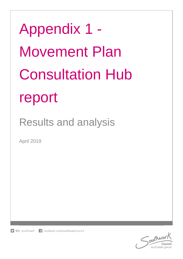Appendix 1 - Movement Plan Consultation Hub report

Results and analysis

April 2019

f facebook.com/southwarkcouncil  $\Box$  @lb southwark

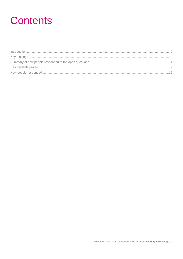## **Contents**

| $\int_0^{\infty} \frac{1}{2} \arccos \left( \frac{1}{2} \arccos \left( \frac{1}{2} \arccos \left( \frac{1}{2} \arccos \left( \frac{1}{2} \arccos \left( \frac{1}{2} \arccos \left( \frac{1}{2} \arccos \left( \frac{1}{2} \arccos \left( \frac{1}{2} \arccos \left( \frac{1}{2} \arccos \left( \frac{1}{2} \arccos \left( \frac{1}{2} \arccos \left( \frac{1}{2} \arccos \left( \frac{1}{2} \arccos \left( \frac{1}{2} \arccos \left( \$ |  |
|------------------------------------------------------------------------------------------------------------------------------------------------------------------------------------------------------------------------------------------------------------------------------------------------------------------------------------------------------------------------------------------------------------------------------------------|--|
|                                                                                                                                                                                                                                                                                                                                                                                                                                          |  |
|                                                                                                                                                                                                                                                                                                                                                                                                                                          |  |
|                                                                                                                                                                                                                                                                                                                                                                                                                                          |  |
|                                                                                                                                                                                                                                                                                                                                                                                                                                          |  |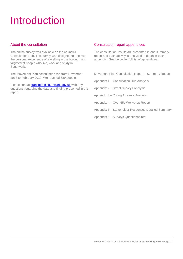## <span id="page-2-0"></span>Introduction

## About the consultation

The online survey was available on the council's Consultation Hub. The survey was designed to uncover the personal experience of travelling in the borough and targeted at people who live, work and study in Southwark.

The Movement Plan consultation ran from November 2018 to February 2019. We reached 689 people.

Please contact **transport@southwark.gov.uk** with any questions regarding the data and finding presented in this report.

## Consultation report appendices

The consultation results are presented in one summary report and each activity is analysed in depth in each appendix. See below for full list of appendices.

Movement Plan Consultation Report – Summary Report

Appendix 1 – Consultation Hub Analysis

Appendix 2 – Street Surveys Analysis

Appendix 3 – Young Advisors Analysis

Appendix 4 – Over 65s Workshop Report

Appendix 5 – Stakeholder Responses Detailed Summary

Appendix 6 – Surveys Questionnaires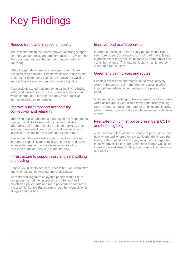# <span id="page-3-0"></span>Key Findings

## Reduce traffic and improve air quality

The respondents to the survey showed a strong support for improved air quality and traffic reduction. 77% agreed that we should reduce the number of motor vehicles in our roads.

59% of respondents support the expansion of timerestricted road closures. People would like to see street closures for community events, to improve the walking and cycling environment and improved air quality.

Respondents stated that improving air quality, reducing traffic and lower speeds on the streets are factors that would contribute to feelings of safety and a positive journey experience for people.

### Improve public transport accessibility, connectivity and reliability

Improving public transport is a priority to the respondents. People would like to see well connected, reliable, affordable and frequent public transport services. This includes more tube lines, stations and bus services to increase travel options and discourage car usage.

People identified accessible stations and journeys as important, especially for people with mobility issues. An accessible transport network is essential to allow everyone to move freely and independently.

### Infrastructure to support easy and safe walking and cycling

People would like to see safe, accessible, well connected and well maintained walking and cycle routes.

To make walking more enjoyable people would like to see pedestrian priority in crossings, wider and well maintained pavements and more pedestrianised streets. It is also highlighted that streets should be accessible for all ages and abilities.

## Improve road user's behaviour

In terms of feeling safe from injury people would like to see more respectful behaviours by all road users. It was expressed that many feel intimidated by some driver and cyclist behaviours. This was particularly highlighted by vulnerable roads users.

## Green and calm places and routes

People's experience and motivation to travel actively would improve with calm and greener places in which they can feel relaxed when getting to the places they need.

Quiet and direct walking routes are raised as a key theme when asked about what would encourage more walking. Clean streets are also important for an enjoyable journey while crowded spaces make people feel uncomfortable in streets.

## Feel safe from crime, police presence & CCTV and better lighting

45% said that a fear of crime strongly or partly influences how, when and where they travel. Respondents said that feeling safe from crime and injury would encourage one to active travel. To feel safe from crime people would like to see improved street lighting and more police presence and CCTV.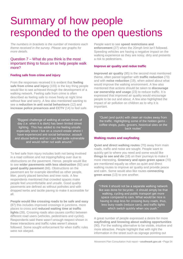## <span id="page-4-0"></span>Summary of how people responded to the open questions

*The numbers in brackets is the number of mentions each theme received in the survey. Please see graphs for more details.* 

### Question 7 – What do you think is the most important thing to focus on to help people walk more?

#### **Feeling safe from crime and injury**

From the responses received it is evident that **feeling safe from crime and injury** (103) is the key thing people would like to see achieved through the development of a walking network. Feeling safe from crime is often described as feeling safe to move freely at night time without fear and worry. A few also mentioned wanting to see a **reduction in anti social behaviours** (12) and **increase police presences and CCTV** (14) to feel safe.

"Biggest challenge of walking at certain times of day (i.e. when it is dark) has been limited street lighting. This has added to me feeling unsafe especially since I live on a council estate where I have experienced anti social behaviour, assault and abuse before and so I can feel quite vulnerable and would rather not walk around."

To feel safe from injury includes both not being involved in a road collision and not tripping/falling over due to obstructions on the pavement. Hence, people would like to see **wider pavements with less obstruction** (92) and **good quality pavement** (66). Obstructions on the pavement are for example identified as other people, litter, poorly placed benches and tree roots. A few respondents mentioned that crowded spaces make people feel uncomfortable and unsafe. Good quality pavements are defined as without potholes and with dropped kerbs and tactile paving to make it accessible for all.

**People would like crossing roads to be safe and easy** (87) this includes improved crossings in junctions, more places to cross and **reduced waiting time at traffic lights** (28). Crossing roads also causes conflict between different road users (vehicles, pedestrians and cyclist). Respondents said there wasn't enough respect shown in these interactions and traffic rules weren't always followed. Some sought enforcement for when traffic rules were not obeyed.

People want to see **speed restrictions and enforcement** (27) when the 20mph limit isn't followed. Speeding vehicles are having a negative impact on the walking experience as they are noisy, dirty and presents a risk to pedestrians.

#### **Improve air quality and redue traffic**

**Improved air quality** (95) is the second most mentioned theme, often paired together with **traffic reduction** (73) and with **noise reduction** (19), when asked about what would improve the walking environment. A few also mentioned that actions should be taken to **discourage car ownership and usage** (23) to reduce traffic. It is expressed that improved air quality would encourage people to be out and about. A few also highlighted the impact of air pollution on children as to why it is important.

"Quiet (and quick) with clean air routes away from the traffic. Highlighting some of the hidden gems coffee shops, pubs, grocers, historical sites on the back routes'

#### **Walking routes and wayfinding**

**Quiet and direct walking routes** (70) away from main roads, traffic and noise are sought. People want to quickly get to where you need and some would like **things to see and do** (18) on their journeys to make it more interesting. **Greenery and open green space** (70) are mentioned equally as often as quiet and direct walking routes to improve air quality and provide peace and calm. Some would also like routes **connecting green areas** (13) to one another.

"I think it should not be a separate walking network like was done for bicycles - it should simply be that walking, cycling and public transport get more space compared to cars. What would be nice is having to stop less for crossing busy roads, thus, less busy roads (reduce cars), and traffic lights which switch quickly when you push.'

A great number of people expressed a desire for more **wayfinding and knowing about walking opportunities** (90). For the walking alternative to be visible, intuitive and more attractive. People highlight that with right the information in the street such as signage pointing out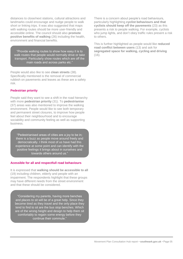distances to close/next stations, cultural attractions and landmarks could encourage and nudge people to walk short or linking trips. It was also suggested that maps with walking routes should be more user-friendly and accessible online. The council should also **promote positive benefits of walking** (26) including the health, environment and financial benefits.

"Provide walking routes to show how easy it is to walk routes that people would normally drive or take transport. Particularly show routes which are off the main roads and across parks etc."

People would also like to see **clean streets** (38). Specifically mentioned is the removal of commercial rubbish on pavements and leaves as these are a safety risk.

#### **Pedestrian priority**

People said they want to see a shift in the road hierarchy with more **pedestrian priority** (31). To **pedestrianise** (37) areas was also mentioned to improve the walking environment. People would like to see both temporary and permanent street closures, to improve how people feel about their neighbourhood and to encourage sociability and community feeling as well as supporting business.

"Pedestrianised areas of cities are a joy to be in; there is a buzz as people move around freely and democratically. I think most of us have had this experience at some point and can identify with the positive feelings it brings about in ourselves and towards others around us."

#### **Acessible for all and respectfull road behaviours**

It is expressed that **walking should be accessible to all** (19) including children, elderly and people with an impairment. The respondents highlight that these groups may have different needs from the street environment and that these should be considered.

"Considering my parents, having more benches and places to sit will be of a great help. Since they become tired as they travel and the only place they tend to find to sit are the bus stop benches. Which are of the wrong height and design to help them sit comfortably to regain some energy before they continue their commute."

There is a concern about people's road behaviours, particularly highlighting **cyclist behaviours and that cyclists should keep off the pavements** (23) as this presents a risk to people walking. For example, cyclists who jump lights, and don't obey traffic rules present a risk to others.

This is further highlighted as people would like **reduced road conflict between users** (13) and ask for **segregated space for walking, cycling and driving** (16).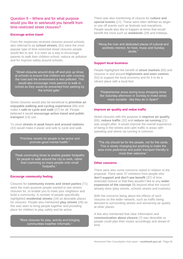## Question 9 – Where and for what purpose would you like to see/would you benefit from time-restricted street closures?

#### **Encoruge active travel**

From the responses received closures around schools, also referred to as **school streets,** (91) were the most popular type of time-restricted street closures people would like to see. It is seen as a way to encourage parents to walk their children school, reduce air pollution and for improve safety around schools.

"Street closures around drop off and pick up times at schools to ensure that children are safe crossing the road and the environment is less polluted. This would also encourage more parents to walk to school as they would be prevented from parking by the school gate."

Street closures would also be beneficial to **prioritise an enjoyable walking and cycling experience** (66) and make it **safe to cycle and walk** (27) for all. People believed it would **encourage active travel and public transport** (13) use.

To close **streets in peak hours and around stations** (32) would make it easier and safe to cycle and walk.

> "Prioritise streets for people to be active and promote good mental health."

"Peak commuting times to enable greater footpaths for people to walk around the city to work, rather than cramming so many people onto small footpaths."

#### **Encourge community feeling**

Closures for **community events and street parties** (71) were the main purpose people wanted to see streets closures for, to enable you to meet your neighbour and build a community. A number of people specifically highlighted **residential streets** (19) as desirable places for closures. People also mentioned **play streets** (26) as this was seen to bring people together and providing place for children to play safely and be active.

> "More closures for play, activity and bringing communities together informally."

There was also mentioning of closure for **culture and special events** (17). These were often defined as larger or one off events such as festivals and marathons. People would also like to happen at times that would benefit the most such as **weekends** (29) and holidays.

"Along the river and dedicated places of cultural and aesthetic interest, for food, music and Sunday strolls.

#### **Support local business**

People highlighted the benefit of **street markets** (65) and closures in and around **highstreets and town centres** (52) to support the local economy and for it to be a vibrant place with a local feel.

"Pedestrianise areas during busy shopping times like Saturday afternoon or Sunday to make areas more sociable - like they do in Spain!"

#### **Improve air quality and redue traffic**

Street closures with the purpose to **improve air quality** (65), **reduce traffic** (32) and **reduce rat running** (21) was sought after. It would improve the overall experience of being in the streets and calm traffic in areas with speeding and where rat running is common.

"The city should be for the people, not for the cards. This is slowly changing but anything to make the area more pedestrian and public transport friendly is more than welcome."

#### **Other concerns**

There were also some concerns raised in relation to the proposal. There were 37 mentions from people who **don't support and don't see benefit** (37) of time restricted closure or that they wouldn't like to any **wider expansion of the concept** (9) beyond what the council already does (play streets, schools streets and markets).

With the concerns being about the effects of such closures on the wider network, such as traffic being directed to surrounding streets and worsening air quality at other places.

A few also mentioned that clear information and **communication about closure** (7) was desirable so people could plan their routes accordingly and ahead of time.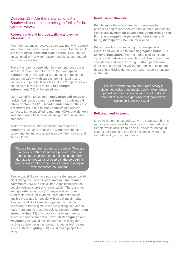## Question 18 – Are there any actions that Southwark could take to help you feel safer in your journeys?

#### **Reduce traffic and improve walking and cyling infrastructure**

From the responses received there was many who would like to feel safer when walking and cycling. People would like **more cycle lanes and cycle routes** (133) that are quiet, linked with a wider network and lanes segregated from motor vehicles.

There was often a correlation between improved cycle infrastructure and wish for **traffic** (56) and **speed reduction** (91). This was also suggested in relation to pedestrian safety. High speeds are intimidating and dangerous to people. It was felt that the 20mph limits are not being followed and there is **not enough enforcement** (76) of the speed limit.

Many would like to see more **pedestrianised roads and residential roads closed to rat runs through modal filters or closures** (28). **Road maintenance** (20) is also a recurrent issue due to many potholes and uneven surfaces. Some specified to **manage HGVs and delivery vehicles** (14) both in terms of timing and reducing their presence.

Traffic reduction is often mentioned to reduce **air pollution** (10). Many people are worried about their safety and the impacts air pollutions on themselves and their children.

"Reduce the number of cars on the roads. They are dangerous both to immediate physical safety of other's but also pollute the air, causing long term damage to thousands of people in the borough. It seems crazy that anyone needs to drive in a city as well connected as London"

People would like to have more and safer space to walk, highlighting the need for wider **and well maintained pavements** (26) with less clutter. A main concern for people walking is crossing roads safely. There are not enough **safe crossings** (50), especially for more vulnerable users, for example there are not enough audible crossings for people with visual impairments. People would like to see more pedestrian priority, especially at traffic lights to reduce waiting time and to have more time to cross. People suggested **reducing on street parking** (13) to improve visibility and free up space to prioritise for active travel. **Better signage and wayfinding** (9) would also improve the walking and cycling experience in the borough together with cleaner spaces. **Better lighting** (30) would make people feel safer.

#### **Road users behaviour**

People agree there is a need for more empathy, politeness and respect between the different road users. Particularly **cyclists on pavements, going through red lights, not stopping at pedestrian crossings and being disrespectful** (57) are mentioned.

Pedestrians find it intimidating to share space with cyclists and would like to have **segregated paths** (11). **Driver's behaviours** (56) and speed also intimidate cyclists and pedestrians, people would like to see more considerate and careful driving. Further, people also mention bus drivers not waiting for people to sit before departing or driving dangerously when people standing on the bus..

"Educate vehicle drivers about road safety in relation to cyclist. I got knocked down when driver opened her door without looking. I got hurt and shouted at. A scary experience that stopped my cycling in Southwark again."

#### **Police and enforcement**

More Police presence and CCTV are suggested both to reduce poor road user behaviours and crime reduction. People would also like to be able to access footage in case of collisions and that their incidences were dealt with efficiently and appropriately.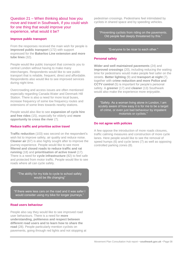## Question 21 – When thinking about how you move and travel in Southwark, if you could wish for one thing that would improve your experience, what would it be?

#### **Improve public transport**

From the responses received the main wish for people is **improved public transport** (172) with support expressed for the **Bakerloo Line extension and more tube lines** (32).

People would like public transport that connects you to central London without having to make many interchanges. Respondents would like to see public transport that is reliable, frequent, direct and affordable. Respondents also would like to see improved services during night time.

Overcrowding and access issues are often mentioned especially regarding Canada Water and Denmark Hill Station. There is also a need for more local buses. increase frequency of some low frequency routes and extensions of some lines towards nearby stations.

People would also like to see **expansion of cycle hire and free rides** (15), especially for elderly and **more opportunity to cross the river** (7).

#### **Reduce traffic and prioritise active travel**

**Traffic reduction** (103) was second on the respondent's wish list to improve safety, air quality and reduce noise. **Cleaner air** (67) is also highly sought after to improve the journey experience. People would like to see more **filtered and closed roads to reduce traffic and rat running** (18) and **prioritisation of active travel** (17). There is a need for **cycle infrastructure** (82) to feel safe and protected from motor traffic. People would like to see roads where all can cycle safely.

"The ability for my kids to cycle to school safely would be life changing"

"If there were less cars on the road and it was safer I would consider using my bike for longer journeys.'

#### **Road users behaviour**

People also say they would like to see improved road user behaviours. There is a need for **more understanding, politeness and respect between different road users and to learn how to share the road** (28). People particularly mention cyclists on pavements, going through red lights and not stopping at pedestrian crossings. Pedestrians feel intimidated by cyclists in shared space and by speeding vehicles.

"Preventing cyclists from riding on the pavements. Old people feel deeply threatened by this."

"Everyone to be nicer to each other."

#### **Personal safety**

**Wider and well maintained pavements** (24) and **improved crossings** (20), including reducing the waiting time for pedestrians would make people feel safer on the streets. **Better lighting** (9) and **transport at night** (7), together with **crime reduction and more Police and CCTV control** (5) is important for people's personal safety. A **greener** (17) and **cleaner** (13) Southwark would also make the experience more enjoyable.

"Safety. As a woman living alone in London, I am acutely aware of how easy it is for me to be a target of crime, or even just bad behaviour by impatient motorists or cyclists."

#### **Do not agree with policies**

A few oppose the introduction of more roads closures, traffic calming measures and construction of more cycle lanes. Here people would like to see the removal of speed humps (6) and cycle lanes (7) as well as opposing controlled parking zones (8).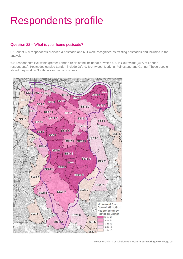## <span id="page-9-0"></span>Respondents profile

## Question 22 – What is your home postcode?

670 out of 689 respondents provided a postcode and 651 were recognised as existing postcodes and included in the analysis.

645 respondents live within greater London (99% of the included) of which 490 in Southwark (75% of London respondents). Postcodes outside London include Otford, Brentwood, Dorking, Folkestone and Goring. Those people stated they work in Southwark or own a business.



Movement Plan Consultation Hub report • **southwark.gov.uk** • Page 09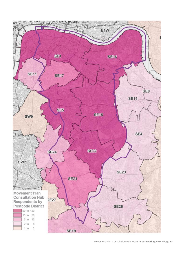

Movement Plan Consultation Hub report • **southwark.gov.uk** • Page 10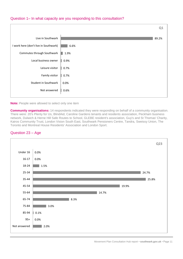## Question 1– In what capacity are you responding to this consultation?



#### **Note:** People were allowed to select only one item

**Community organisations:** 14 respondents indicated they were responding on behalf of a community organisation. There were: 20's Plenty for Us, BlindAid, Caroline Gardens tenants and residents association, Peckham business network, Dulwich & Herne Hill Safe Routes to School, GLEBE resident's association, Guy's and St Thomas' Charity, Kairos Community Trust, London Vision South East, Southwark Pensioners Centre, Tandra, Sweissy Union, The Toronto and Montreal House Residents' Association and London Sport.

#### Question 23 – Age

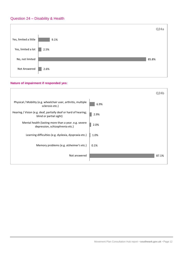## Question 24 – Disability & Health



#### **Nature of impairment if responded yes:**

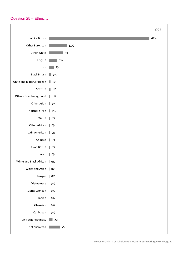## Question 25 – Ethnicity

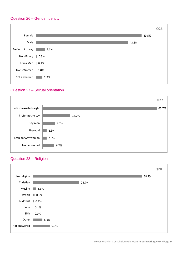## Question 26 – Gender identity



## Question 27 – Sexual orientation



## Question 28 – Religion

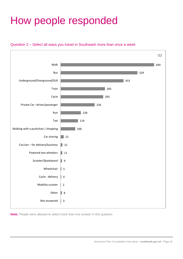## <span id="page-15-0"></span>How people responded





**Note:** People were allowed to select more than one answer in this question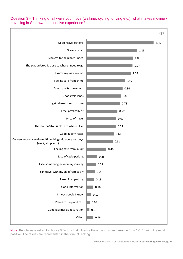## Question 3 – Thinking of all ways you move (walking, cycling, driving etc.), what makes moving / travelling in Southwark a positive experience?



**Note:** People were asked to choose 5 factors that inluence them the most and arrange from 1-5, 1 being the most positive. The results are represented in the form of ranking.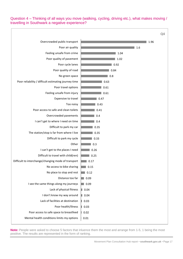Question 4 – Thinking of all ways you move (walking, cycling, driving etc.), what makes moving / travelling in Southwark a negative experience?



**Note:** People were asked to choose 5 factors that inluence them the most and arrange from 1-5, 1 being the most positive. The results are represented in the form of ranking.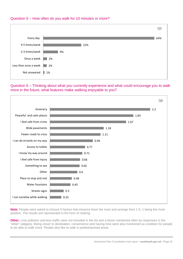

## Question 6 – Thinking about what you currently experience and what could encourage you to walk more in the future, what features make walking enjoyable to you?



**Note:** People were asked to choose 5 factors that inluence them the most and arrange from 1-5, 1 being the most positive. The results are represented in the form of ranking.

**Other:** Less pollution and less traffic were not included in the list and a factor mentioned often by responses in the "other" category. Being closer to destination, convenience and having time were also mentioned as condition for people to be able to walk more. People also like to walk in pedestrianised areas.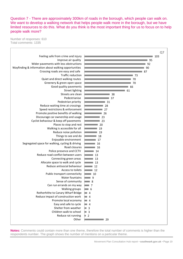Question 7 - There are approximately 300km of roads in the borough, which people can walk on. We want to develop a walking network that helps people walk more in the borough, but we have limited resources to do this. What do you think is the most important thing for us to focus on to help people walk more?

Number of responses: 610 Total comments: 1335



**Notes:** Comments could contain more than one theme, therefore the total number of comments is higher than the respondents number. The graph shows the number of mentions on a particular theme.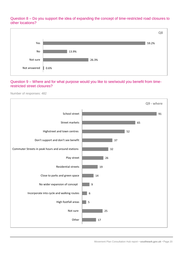Question 8 – Do you support the idea of expanding the concept of time-restricted road closures to other locations?



### Question 9 – Where and for what purpose would you like to see/would you benefit from timerestricted street closures?

Number of responses: 482

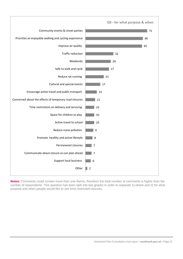

**Notes:** Comments could contain more than one theme, therefore the total number of comments is higher than the number of respondents. This question has been split into two graphs in order to separate 1) where and 2) for what purpose and when people would like to see time-restricted closures.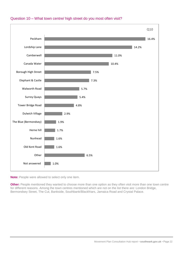

## Question 10 – What town centre/ high street do you most often visit?

**Note:** People were allowed to select only one item.

**Other:** People mentioned they wanted to choose more than one option as they often visit more than one town centre for different reasons. Among the town centres mentioned which are not on the list there are: London Bridge, Bermondsey Street, The Cut, Bankside, Southbank/Blackfriars, Jamaica Road and Crystal Palace.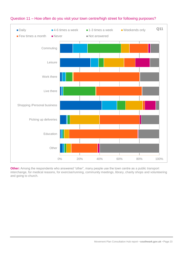

## Question 11 – How often do you visit your town centre/high street for following purposes?

**Other:** Among the respondents who answered "other", many people use the town centre as a public transport interchange, for medical reasons, for exercise/running, community meetings, library, charity shops and volunteering and going to church.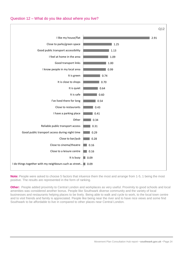## Question 12 – What do you like about where you live?



**Note:** People were asked to choose 5 factors that inluence them the most and arrange from 1-5, 1 being the most positive. The results are represented in the form of ranking.

**Other:** People added proximity to Central London and workplaces as very useful. Proximity to good schools and local amenities was considered another bonus. People like Southwark diverse community and the variety of local businesses and restaurants helping places to be lively. Being able to walk and cycle to work, to the local town centre and to visit friends and family is appreciated. People like being near the river and to have nice views and some find Southwark to be affordable to live in compared to other places near Central London.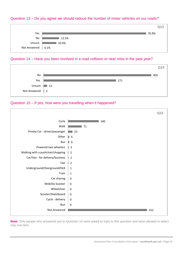## Question 13 – Do you agree we should reduce the number of motor vehicles on our roads?



#### Question 14 – Have you been involved in a road collision or near miss in the past year?



#### Question 15 – If yes, how were you travelling when it happened?



**Note:** Only people who answered yes to Question 14 were asked to reply to this question and were allowed to select only one item.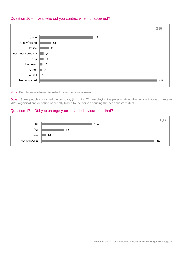



**Note:** People were allowed to select more than one answer

**Other:** Some people contacted the company (including TfL) employing the person driving the vehicle involved, wrote to MPs, organisations or online or directly talked to the person causing the near miss/accident.

#### Question 17 – Did you change your travel behaviour after that?

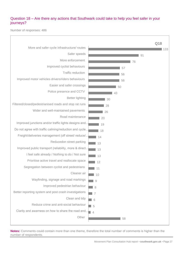## Question 18 – Are there any actions that Southwark could take to help you feel safer in your journeys?

Number of responses: 486



**Notes:** Comments could contain more than one theme, therefore the total number of comments is higher than the number of respondents.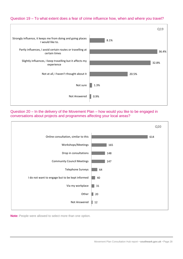## Question 19 – To what extent does a fear of crime influence how, when and where you travel?



Question 20 – In the delivery of the Movement Plan – how would you like to be engaged in conversations about projects and programmes affecting your local areas?



**Note:** People were allowed to select more than one option.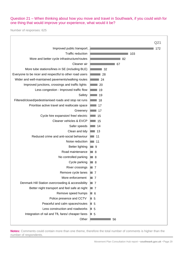## Question 21 – When thinking about how you move and travel in Southwark, if you could wish for one thing that would improve your experience, what would it be?

Number of responses: 625

 $\overline{1}$ 

|                                                         | Q21              |
|---------------------------------------------------------|------------------|
| Improved public transport.                              | 172              |
| <b>Traffic reduction</b>                                | 103              |
| More and better cycle infrastructure/routes             | 82               |
| Cleaner air                                             | 67               |
| More tube stations/lines in SE (including BLE)          | -32              |
| Everyone to be nicer and respectful to other road users | 28               |
| Wider and well-maintained pavements/walking routes      | 24               |
| Improved junctions, crossings and traffic lights        | 20               |
| Less congestion - Improved traffic flow                 | 19               |
| Safety                                                  | 19               |
| Filtered/closed/pedestrianised roads and stop rat runs  | 18               |
| Prioritise active travel and reallocate space           | 17               |
| Greenery                                                | 17               |
| Cycle hire expansion/ free/ electric                    | 15               |
| Cleaner vehicles & EVCP                                 | 15               |
| Safer speeds                                            | -14              |
| Clean and tidy                                          | 13               |
| Reduced crime and anti-social behaviour                 | 11               |
| Noise reduction                                         | 11               |
| <b>Better lighting</b>                                  | ■ 9              |
| Road maintenance                                        | ■ 8              |
| No controlled parking                                   | ■ 8              |
| Cycle parking                                           | $\Box$ 8         |
| River crossings                                         | $\blacksquare$ 7 |
| Remove cycle lanes                                      | $\Box$ 7         |
| More enforcement                                        | $\blacksquare$ 7 |
| Denmark Hill Station overcrowding & accessibility       | $\Box$ 7         |
| Better night transport and feel safe at night           | $\Box$ 7         |
| Remove speed humps                                      | ■ 6              |
| Police presence and CCTV                                | $\Box$ 5         |
| Peaceful and calm spaces/routes                         | $\Box$ 5         |
| Less construction and roadworks                         | $\Box$ 5         |
| Integration of rail and TfL fares/ cheaper fares        | $\blacksquare$ 5 |
| Other                                                   | 56               |

**Notes:** Comments could contain more than one theme, therefore the total number of comments is higher than the number of respondents.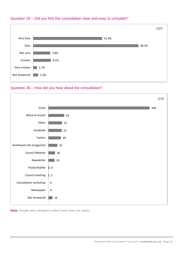

## Question 29 – Did you find this consultation clear and easy to complete?

## Question 30 – How did you hear about the consultation?



**Note:** People were allowed to select more than one option.